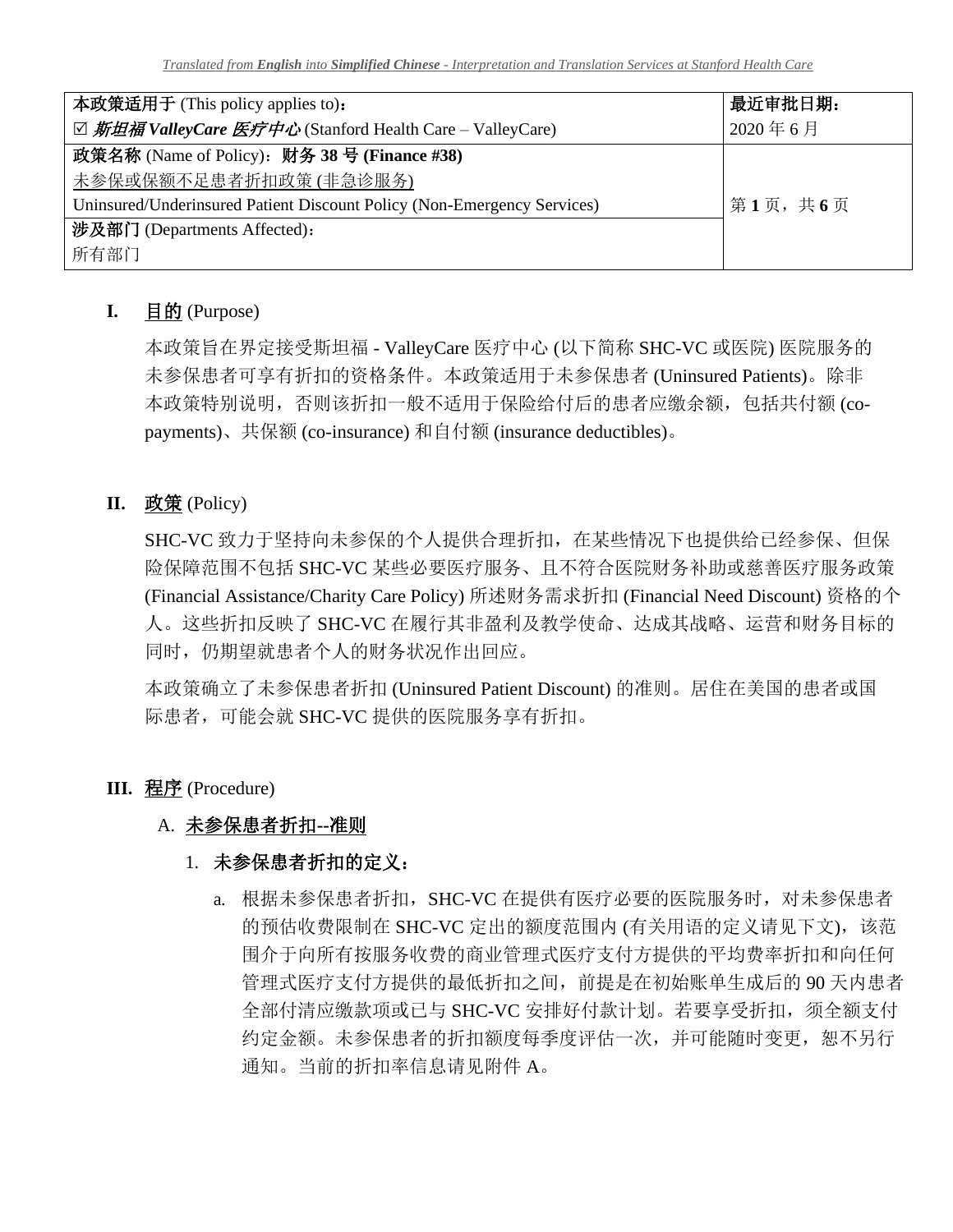| 本政策适用于 (This policy applies to):                                        | 最近审批日期: |
|-------------------------------------------------------------------------|---------|
| ☑ 斯坦福 ValleyCare 医疗中心 (Stanford Health Care – ValleyCare)               | 2020年6月 |
| 政策名称 (Name of Policy): 财务 38 号 (Finance #38)                            |         |
| 未参保或保额不足患者折扣政策(非急诊服务)                                                   |         |
| Uninsured/Underinsured Patient Discount Policy (Non-Emergency Services) | 第1页,共6页 |
| 涉及部门 (Departments Affected):                                            |         |
| 所有部门                                                                    |         |

# **I.** 目的 (Purpose)

本政策旨在界定接受斯坦福 - ValleyCare 医疗中心 (以下简称 SHC-VC 或医院) 医院服务的 未参保患者可享有折扣的资格条件。本政策适用于未参保患者 (Uninsured Patients)。除非 本政策特别说明,否则该折扣一般不适用于保险给付后的患者应缴余额,包括共付额 (copayments)、共保额 (co-insurance) 和自付额 (insurance deductibles)。

# **II.** 政策 (Policy)

SHC-VC 致力于坚持向未参保的个人提供合理折扣,在某些情况下也提供给已经参保、但保 险保障范围不包括 SHC-VC 某些必要医疗服务、且不符合医院财务补助或慈善医疗服务政策 (Financial Assistance/Charity Care Policy) 所述财务需求折扣 (Financial Need Discount) 资格的个 人。这些折扣反映了 SHC-VC 在履行其非盈利及教学使命、达成其战略、运营和财务目标的 同时,仍期望就患者个人的财务状况作出回应。

本政策确立了未参保患者折扣 (Uninsured Patient Discount) 的准则。居住在美国的患者或国 际患者,可能会就 SHC-VC 提供的医院服务享有折扣。

# **III.** 程序 (Procedure)

# A. 未参保患者折扣**--**准则

# 1. 未参保患者折扣的定义:

a. 根据未参保患者折扣, SHC-VC 在提供有医疗必要的医院服务时, 对未参保患者 的预估收费限制在 SHC-VC 定出的额度范围内 (有关用语的定义请见下文), 该范 围介于向所有按服务收费的商业管理式医疗支付方提供的平均费率折扣和向任何 管理式医疗支付方提供的最低折扣之间,前提是在初始账单生成后的 90 天内患者 全部付清应缴款项或已与 SHC-VC 安排好付款计划。若要享受折扣,须全额支付 约定金额。未参保患者的折扣额度每季度评估一次,并可能随时变更, 恕不另行 通知。当前的折扣率信息请见附件 A。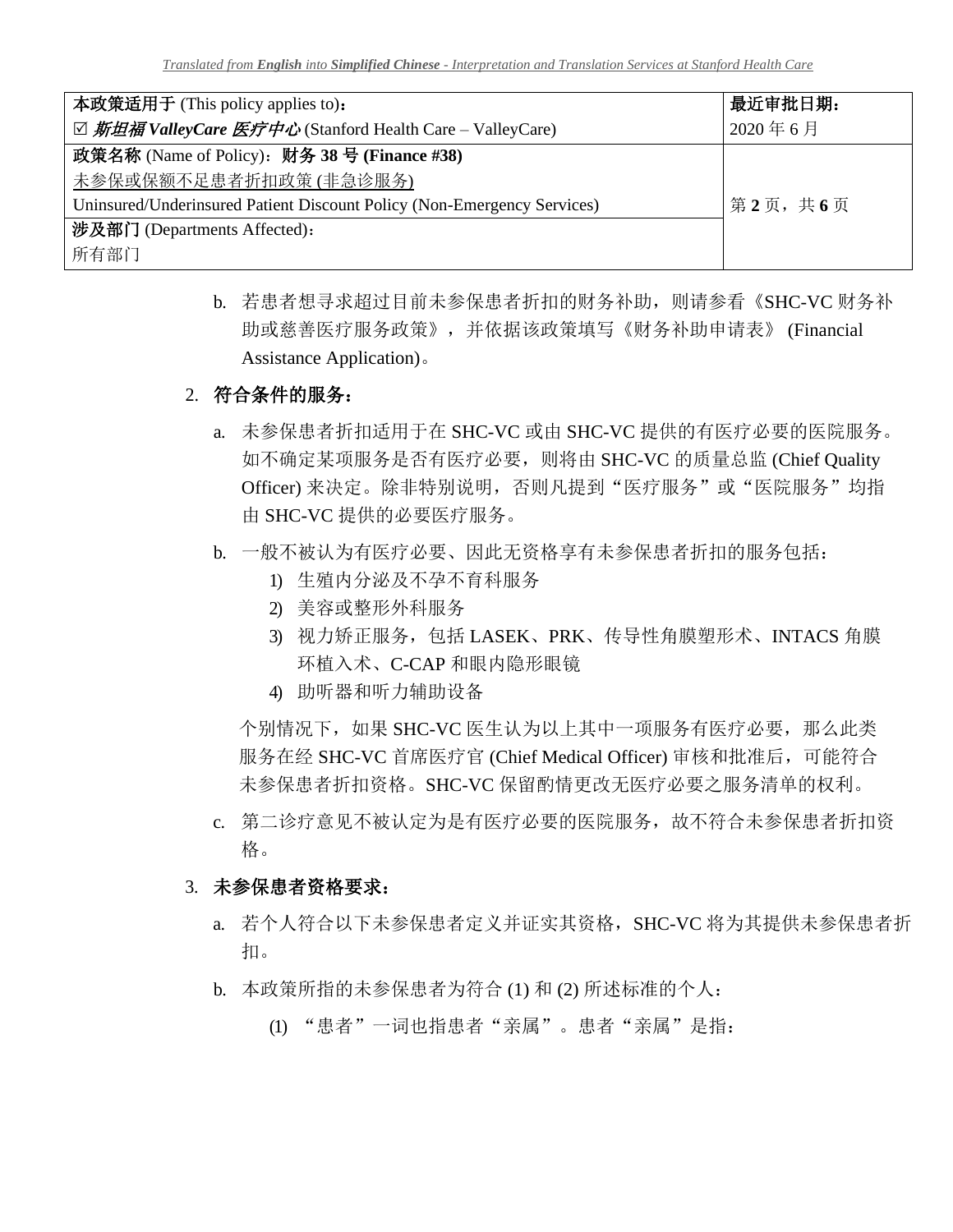| 本政策适用于 (This policy applies to):                                        | 最近审批日期: |
|-------------------------------------------------------------------------|---------|
| ☑ 斯坦福 ValleyCare 医疗中心 (Stanford Health Care – ValleyCare)               | 2020年6月 |
| 政策名称 (Name of Policy): 财务 38 号 (Finance #38)                            |         |
| 未参保或保额不足患者折扣政策(非急诊服务)                                                   |         |
| Uninsured/Underinsured Patient Discount Policy (Non-Emergency Services) | 第2页,共6页 |
| 涉及部门 (Departments Affected):                                            |         |
| 所有部门                                                                    |         |

b. 若患者想寻求超过目前未参保患者折扣的财务补助,则请参看《SHC-VC 财务补 助或慈善医疗服务政策》,并依据该政策填写《财务补助申请表》 (Financial Assistance Application)。

#### 2. 符合条件的服务:

- a. 未参保患者折扣适用于在 SHC-VC 或由 SHC-VC 提供的有医疗必要的医院服务。 如不确定某项服务是否有医疗必要,则将由 SHC-VC 的质量总监 (Chief Quality Officer) 来决定。除非特别说明, 否则凡提到"医疗服务"或"医院服务"均指 由 SHC-VC 提供的必要医疗服务。
- b. 一般不被认为有医疗必要、因此无资格享有未参保患者折扣的服务包括:
	- 1) 生殖内分泌及不孕不育科服务
	- 2) 美容或整形外科服务
	- 3) 视力矫正服务, 包括 LASEK、PRK、传导性角膜塑形术、INTACS 角膜 环植入术、C-CAP 和眼内隐形眼镜
	- 4) 助听器和听力辅助设备

个别情况下,如果 SHC-VC 医生认为以上其中一项服务有医疗必要, 那么此类 服务在经 SHC-VC 首席医疗官 (Chief Medical Officer) 审核和批准后,可能符合 未参保患者折扣资格。SHC-VC 保留酌情更改无医疗必要之服务清单的权利。

c. 第二诊疗意见不被认定为是有医疗必要的医院服务,故不符合未参保患者折扣资 格。

#### 3. 未参保患者资格要求:

- a. 若个人符合以下未参保患者定义并证实其资格, SHC-VC 将为其提供未参保患者折 扣。
- b. 本政策所指的未参保患者为符合 (1) 和 (2) 所述标准的个人:
	- (1) "患者"一词也指患者"亲属"。患者"亲属"是指: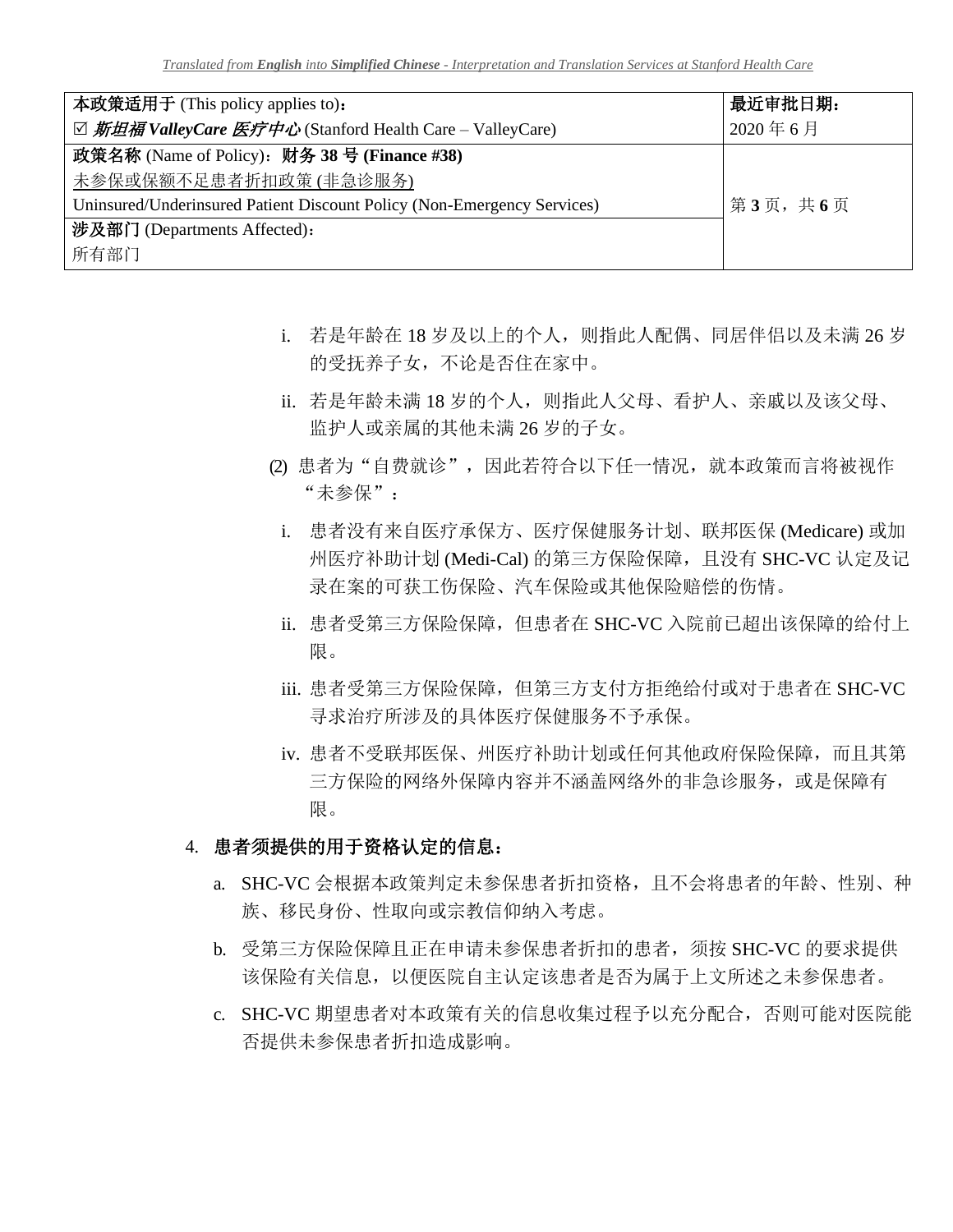| 本政策适用于 (This policy applies to):                                        | 最近审批日期: |
|-------------------------------------------------------------------------|---------|
| ☑ 斯坦福 ValleyCare 医疗中心 (Stanford Health Care – ValleyCare)               | 2020年6月 |
| 政策名称 (Name of Policy): 财务 38 号 (Finance #38)                            |         |
| 未参保或保额不足患者折扣政策(非急诊服务)                                                   |         |
| Uninsured/Underinsured Patient Discount Policy (Non-Emergency Services) | 第3页,共6页 |
| 涉及部门 (Departments Affected):                                            |         |
| 所有部门                                                                    |         |

- i. 若是年龄在 18 岁及以上的个人,则指此人配偶、同居伴侣以及未满 26 岁 的受抚养子女,不论是否住在家中。
- ii. 若是年龄未满 18 岁的个人,则指此人父母、看护人、亲戚以及该父母、 监护人或亲属的其他未满 26 岁的子女。
- (2) 患者为"自费就诊",因此若符合以下任一情况, 就本政策而言将被视作 "未参保":
	- i. 患者没有来自医疗承保方、医疗保健服务计划、联邦医保 (Medicare) 或加 州医疗补助计划 (Medi-Cal) 的第三方保险保障, 且没有 SHC-VC 认定及记 录在案的可获工伤保险、汽车保险或其他保险赔偿的伤情。
	- ii. 患者受第三方保险保障,但患者在 SHC-VC 入院前已超出该保障的给付上 限。
	- iii. 患者受第三方保险保障,但第三方支付方拒绝给付或对于患者在 SHC-VC 寻求治疗所涉及的具体医疗保健服务不予承保。
	- iv. 患者不受联邦医保、州医疗补助计划或任何其他政府保险保障,而且其第 三方保险的网络外保障内容并不涵盖网络外的非急诊服务, 或是保障有 限。
- 4. 患者须提供的用于资格认定的信息:
	- a. SHC-VC 会根据本政策判定未参保患者折扣资格,且不会将患者的年龄、性别、种 族、移民身份、性取向或宗教信仰纳入考虑。
	- b. 受第三方保险保障且正在申请未参保患者折扣的患者,须按 SHC-VC 的要求提供 该保险有关信息,以便医院自主认定该患者是否为属于上文所述之未参保患者。
	- c. SHC-VC 期望患者对本政策有关的信息收集过程予以充分配合,否则可能对医院能 否提供未参保患者折扣造成影响。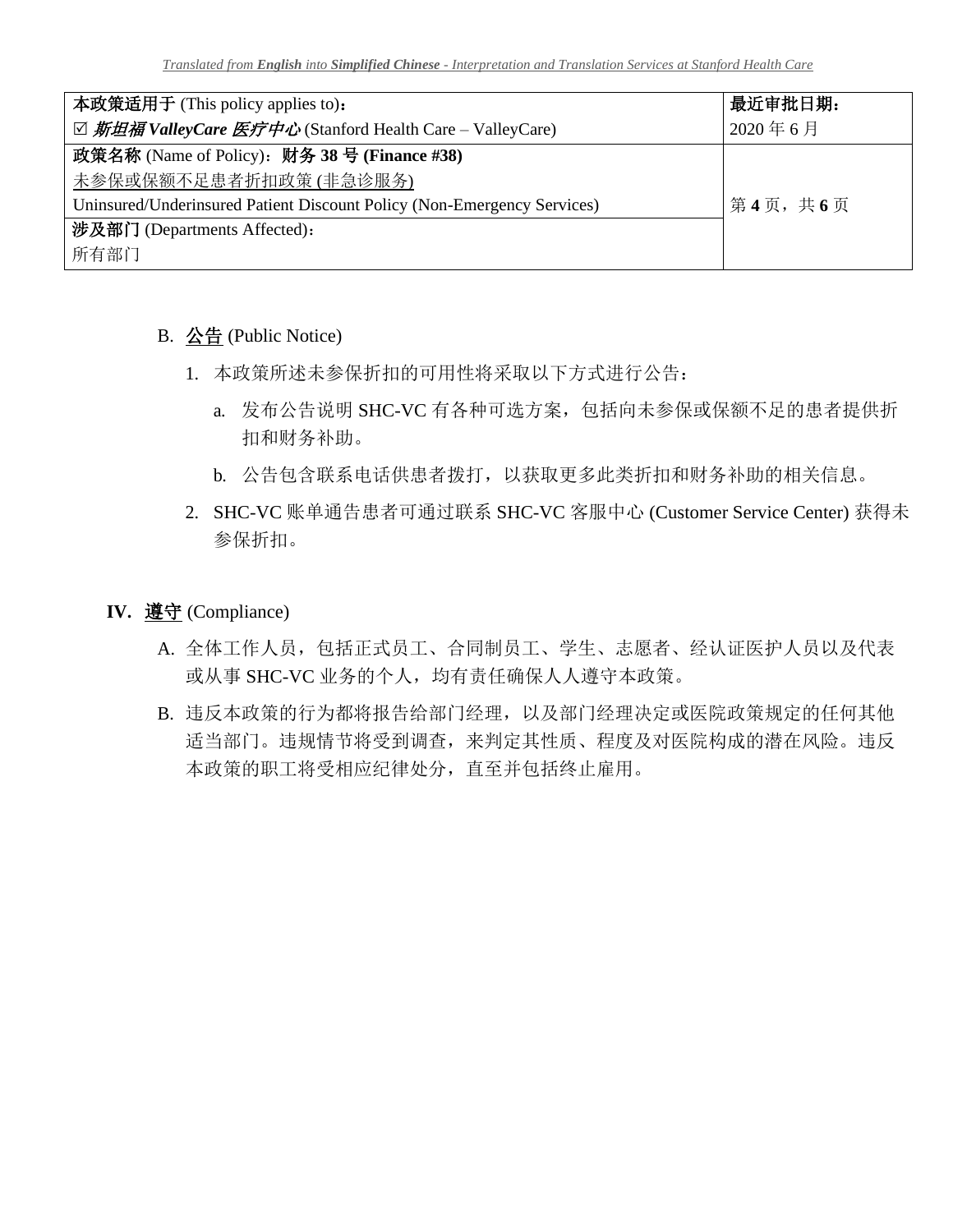| 本政策适用于 (This policy applies to):                                        | 最近审批日期: |
|-------------------------------------------------------------------------|---------|
| ☑ 斯坦福 ValleyCare 医疗中心 (Stanford Health Care – ValleyCare)               | 2020年6月 |
| 政策名称 (Name of Policy): 财务 38 号 (Finance #38)                            |         |
| 未参保或保额不足患者折扣政策(非急诊服务)                                                   |         |
| Uninsured/Underinsured Patient Discount Policy (Non-Emergency Services) | 第4页,共6页 |
| 涉及部门 (Departments Affected):                                            |         |
| 所有部门                                                                    |         |

B. 公告 (Public Notice)

- 1. 本政策所述未参保折扣的可用性将采取以下方式进行公告:
	- a. 发布公告说明 SHC-VC 有各种可选方案,包括向未参保或保额不足的患者提供折 扣和财务补助。
	- b. 公告包含联系电话供患者拨打,以获取更多此类折扣和财务补助的相关信息。
- 2. SHC-VC 账单通告患者可通过联系 SHC-VC 客服中心 (Customer Service Center) 获得未 参保折扣。
- **IV.** 遵守 (Compliance)
	- A. 全体工作人员,包括正式员工、合同制员工、学生、志愿者、经认证医护人员以及代表 或从事 SHC-VC 业务的个人,均有责任确保人人遵守本政策。
	- B. 违反本政策的行为都将报告给部门经理,以及部门经理决定或医院政策规定的任何其他 适当部门。违规情节将受到调查,来判定其性质、程度及对医院构成的潜在风险。违反 本政策的职工将受相应纪律处分,直至并包括终止雇用。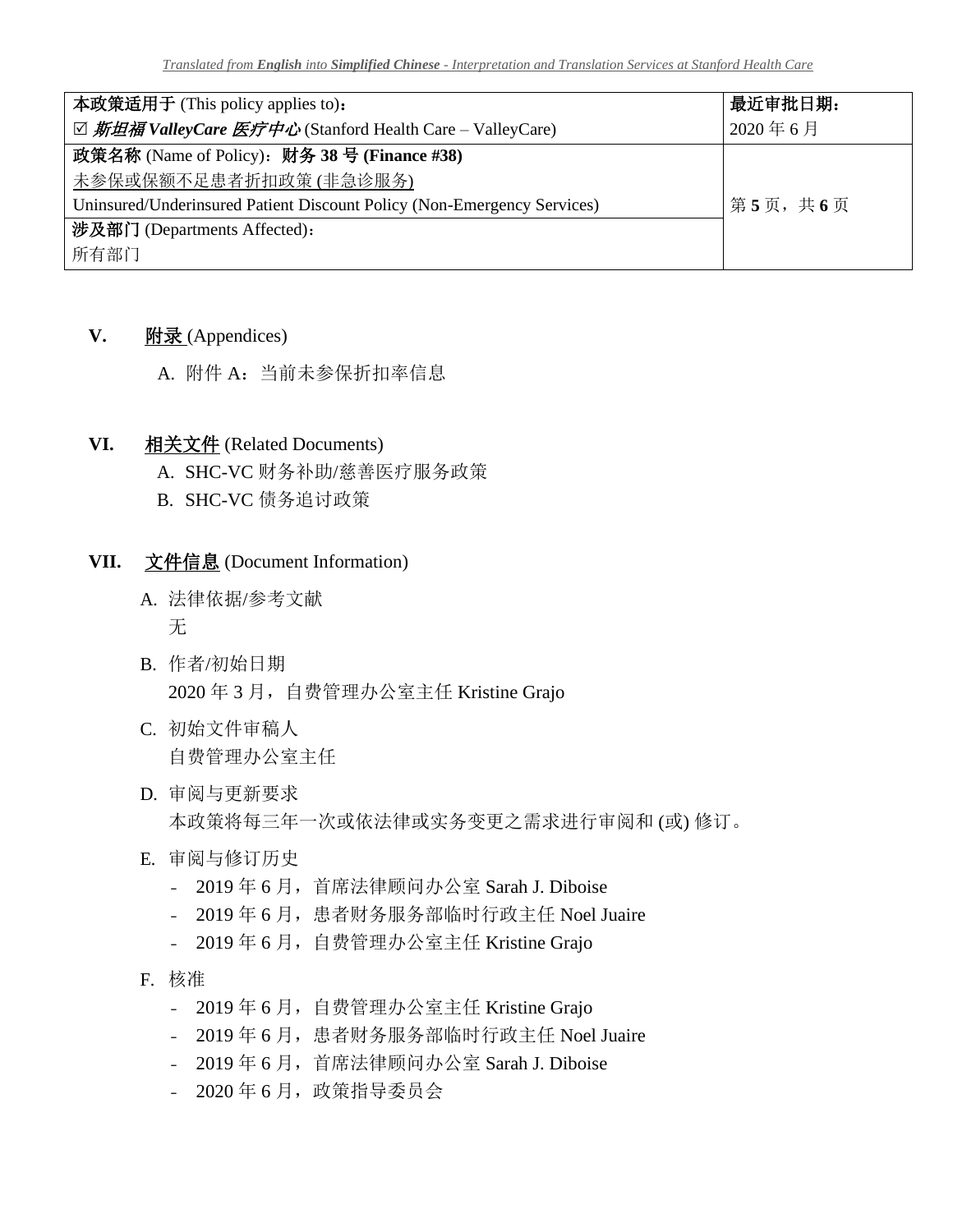| 本政策适用于 (This policy applies to):                                        | 最近审批日期: |
|-------------------------------------------------------------------------|---------|
| ☑ 斯坦福 ValleyCare 医疗中心 (Stanford Health Care – ValleyCare)               | 2020年6月 |
| 政策名称 (Name of Policy): 财务 38 号 (Finance #38)                            |         |
| 未参保或保额不足患者折扣政策(非急诊服务)                                                   |         |
| Uninsured/Underinsured Patient Discount Policy (Non-Emergency Services) | 第5页,共6页 |
| 涉及部门 (Departments Affected):                                            |         |
| 所有部门                                                                    |         |

## **V.** 附录 (Appendices)

A. 附件 A:当前未参保折扣率信息

### **VI.** 相关文件 (Related Documents)

A. SHC-VC 财务补助/慈善医疗服务政策

B. SHC-VC 债务追讨政策

### **VII.** 文件信息 (Document Information)

- A. 法律依据/参考文献 无
- B. 作者/初始日期 2020年3月,自费管理办公室主任 Kristine Grajo
- C. 初始文件审稿人 自费管理办公室主任
- D. 审阅与更新要求 本政策将每三年一次或依法律或实务变更之需求进行审阅和 (或) 修订。
- E. 审阅与修订历史
	- 2019 年 6 月,首席法律顾问办公室 Sarah J. Diboise
	- 2019年 6月, 患者财务服务部临时行政主任 Noel Juaire
	- 2019年 6月, 自费管理办公室主任 Kristine Grajo
- F. 核准
	- 2019年 6月, 自费管理办公室主任 Kristine Grajo
	- 2019年 6月, 患者财务服务部临时行政主任 Noel Juaire
	- 2019 年 6 月,首席法律顾问办公室 Sarah J. Diboise
	- 2020 年 6 月,政策指导委员会